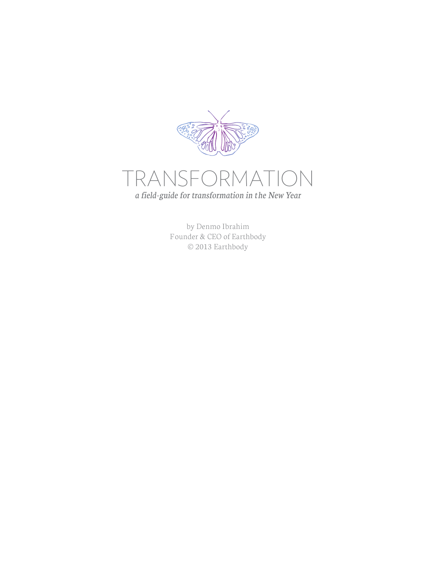



by Denmo Ibrahim Founder & CEO of Earthbody © 2013 Earthbody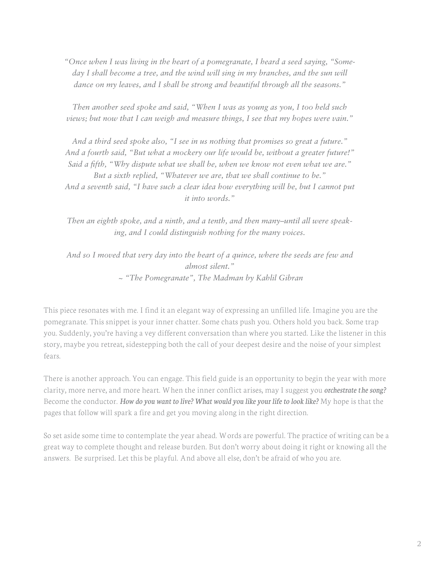*"Once when I was living in the heart of a pomegranate, I heard a seed saying, "Someday I shall become a tree, and the wind will sing in my branches, and the sun will dance on my leaves, and I shall be strong and beautiful through all the seasons."*

*Then another seed spoke and said, "When I was as young as you, I too held such views; but now that I can weigh and measure things, I see that my hopes were vain."*

*And a third seed spoke also, "I see in us nothing that promises so great a future." And a fourth said, "But what a mockery our life would be, without a greater future!" Said a fifth, "Why dispute what we shall be, when we know not even what we are." But a sixth replied, "Whatever we are, that we shall continue to be." And a seventh said, "I have such a clear idea how everything will be, but I cannot put it into words."*

*Then an eighth spoke, and a ninth, and a tenth, and then many–until all were speaking, and I could distinguish nothing for the many voices.*

*And so I moved that very day into the heart of a quince, where the seeds are few and almost silent." ~ "The Pomegranate", The Madman by Kahlil Gibran*

This piece resonates with me. I find it an elegant way of expressing an unfilled life. Imagine you are the pomegranate. This snippet is your inner chatter. Some chats push you. Others hold you back. Some trap you. Suddenly, you're having a vey different conversation than where you started. Like the listener in this story, maybe you retreat, sidestepping both the call of your deepest desire and the noise of your simplest fears.

There is another approach. You can engage. This field guide is an opportunity to begin the year with more clarity, more nerve, and more heart. When the inner conflict arises, may I suggest you *orchestrate the song?*  Become the conductor. *How do you want to live? What would you like your life to look like?* My hope is that the pages that follow will spark a fire and get you moving along in the right direction.

So set aside some time to contemplate the year ahead. Words are powerful. The practice of writing can be a great way to complete thought and release burden. But don't worry about doing it right or knowing all the answers. Be surprised. Let this be playful. And above all else, don't be afraid of who you are.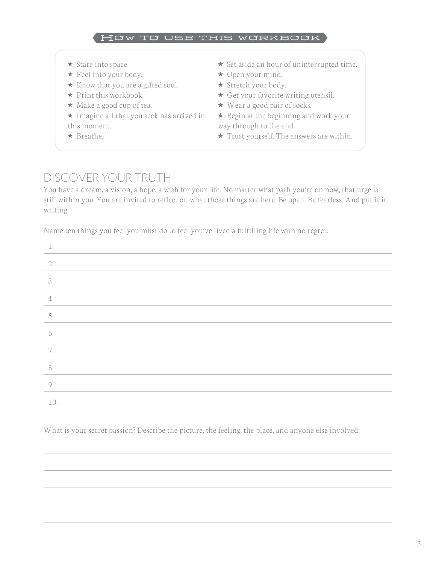

- **★** Stare into space.
- ★ Feel into your body.
- $\star$  Know that you are a gifted soul.
- $\star$  Print this workbook.
- ★ Make a good cup of tea.

 $\star$  Imagine all that you seek has arrived in this moment.

⋆ Breathe.

- ⋆ Set aside an hour of uninterrupted time.
- $\star$  Open your mind.
- ★ Stretch your body.
- $\star$  Get your favorite writing utensil.
- ★ Wear a good pair of socks.
- $\star$  Begin at the beginning and work your way through to the end.
- $\star$  Trust yourself. The answers are within.

### DISCOVER YOUR TRUTH

You have a dream, a vision, a hope, a wish for your life. No matter what path you're on now, that urge is still within you. You are invited to reflect on what those things are here. Be open. Be fearless. And put it in writing.

Name ten things you feel you must do to feel you've lived a fulfilling life with no regret:

| 1.  |  |
|-----|--|
| 2.  |  |
| 3.  |  |
| 4.  |  |
| 5.  |  |
| 6.  |  |
| 7.  |  |
| 8.  |  |
| 9.  |  |
| 10. |  |

What is your secret passion? Describe the picture, the feeling, the place, and anyone else involved: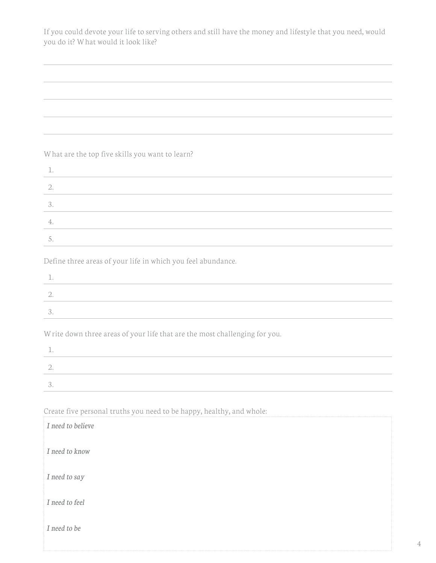If you could devote your life to serving others and still have the money and lifestyle that you need, would you do it? What would it look like?

#### What are the top five skills you want to learn?

Define three areas of your life in which you feel abundance.

Write down three areas of your life that are the most challenging for you.

Create five personal truths you need to be happy, healthy, and whole:

| I need to believe |  |
|-------------------|--|
| I need to know    |  |
| I need to say     |  |
| I need to feel    |  |
| I need to be      |  |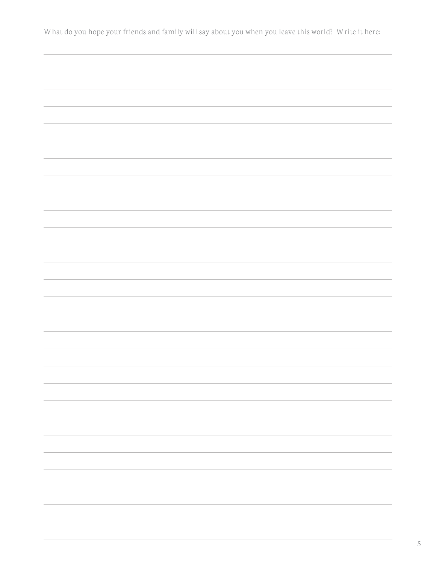What do you hope your friends and family will say about you when you leave this world? Write it here: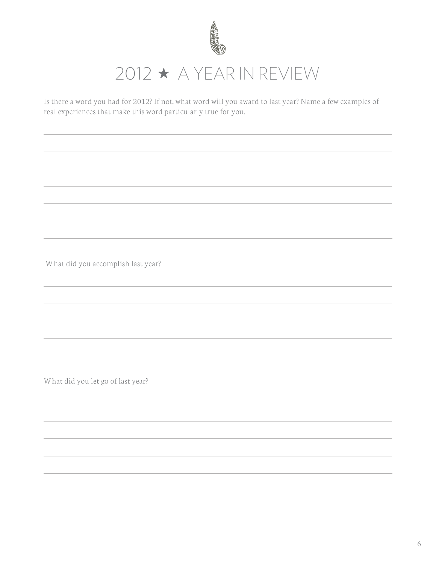

## $2012 \star A$  YEAR IN REVIEW

Is there a word you had for 2012? If not, what word will you award to last year? Name a few examples of real experiences that make this word particularly true for you.

What did you accomplish last year?

What did you let go of last year?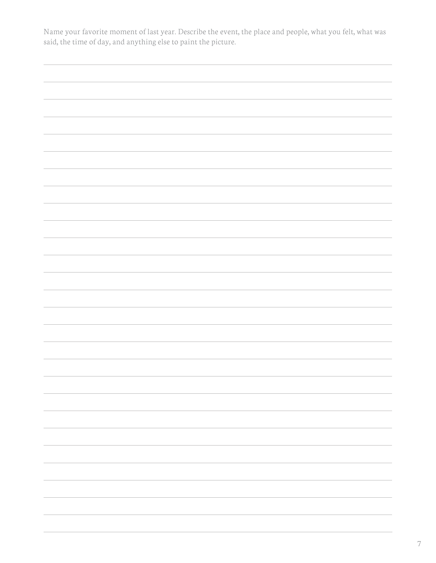Name your favorite moment of last year. Describe the event, the place and people, what you felt, what was said, the time of day, and anything else to paint the picture.

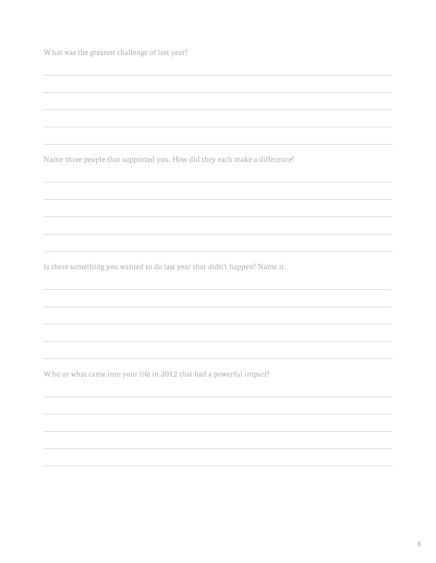What was the greatest challenge of last year?

Name three people that supported you. How did they each make a difference?

Is there something you wanted to do last year that didn't happen? Name it.

Who or what came into your life in 2012 that had a powerful impact?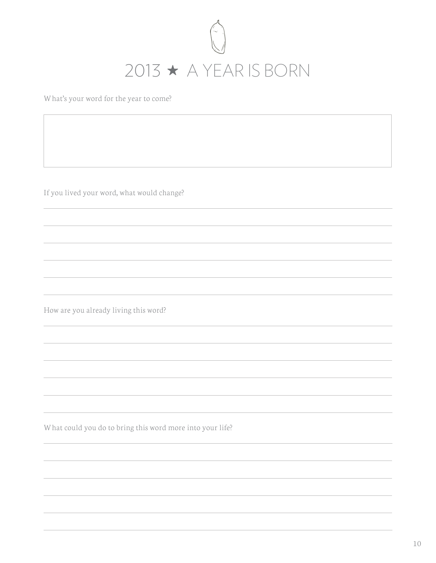

What's your word for the year to come?

If you lived your word, what would change?

How are you already living this word?

What could you do to bring this word more into your life?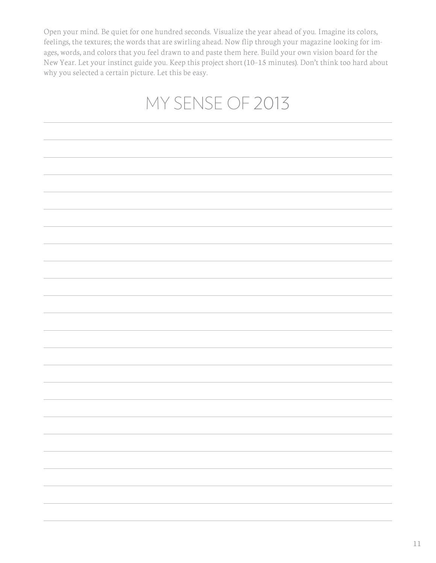Open your mind. Be quiet for one hundred seconds. Visualize the year ahead of you. Imagine its colors, feelings, the textures; the words that are swirling ahead. Now flip through your magazine looking for images, words, and colors that you feel drawn to and paste them here. Build your own vision board for the New Year. Let your instinct guide you. Keep this project short (10–15 minutes). Don't think too hard about why you selected a certain picture. Let this be easy.

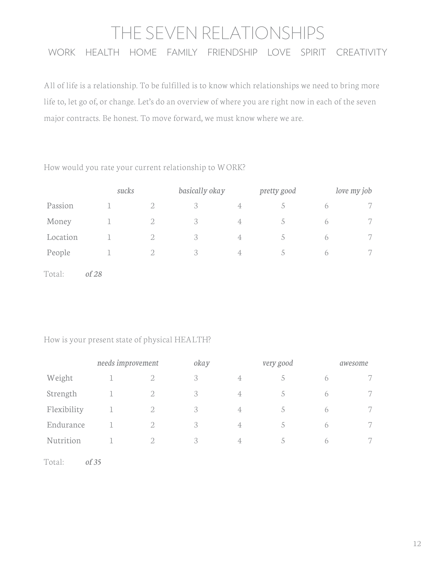## THE SEVEN RELATIONSHIPS WORK HEALTH HOME FAMILY FRIENDSHIP LOVE SPIRIT CREATIVITY

All of life is a relationship. To be fulfilled is to know which relationships we need to bring more life to, let go of, or change. Let's do an overview of where you are right now in each of the seven major contracts. Be honest. To move forward, we must know where we are.

#### How would you rate your current relationship to WORK?

|          | sucks |   | basically okay |                | pretty good |   | love my job          |
|----------|-------|---|----------------|----------------|-------------|---|----------------------|
| Passion  |       |   |                | 4              |             |   |                      |
| Money    |       |   | 3              | $\overline{4}$ |             | h | 7                    |
| Location |       | 2 | 3              | 4              |             | b | $\overline{ }$<br>Γ. |
| People   |       |   | $\Delta$       | 4              |             | b | r.                   |

Total: *of 28*

#### How is your present state of physical HEALTH?

|             | needs improvement |                                                                                                                                                                 | okay |                | very good     |   | awesome |
|-------------|-------------------|-----------------------------------------------------------------------------------------------------------------------------------------------------------------|------|----------------|---------------|---|---------|
| Weight      |                   |                                                                                                                                                                 | 3    | $\overline{4}$ |               | 6 | 7       |
| Strength    |                   | 2                                                                                                                                                               | 3    | $\overline{4}$ | $\mathcal{D}$ | 6 | 7       |
| Flexibility |                   | $\mathcal{D}_{\mathcal{A}}^{\mathcal{A}}(\mathcal{A})=\mathcal{D}_{\mathcal{A}}^{\mathcal{A}}(\mathcal{A})\mathcal{D}_{\mathcal{A}}^{\mathcal{A}}(\mathcal{A})$ | 3    | $\overline{4}$ | 5.            | 6 | 7       |
| Endurance   |                   | 2                                                                                                                                                               | 3    | $\overline{4}$ | $\Delta$      | 6 | 7       |
| Nutrition   |                   | $\mathcal{D}_{\mathcal{L}}$                                                                                                                                     | 3    | 4              | 5             | 6 | 7       |
|             |                   |                                                                                                                                                                 |      |                |               |   |         |

Total: *of 35*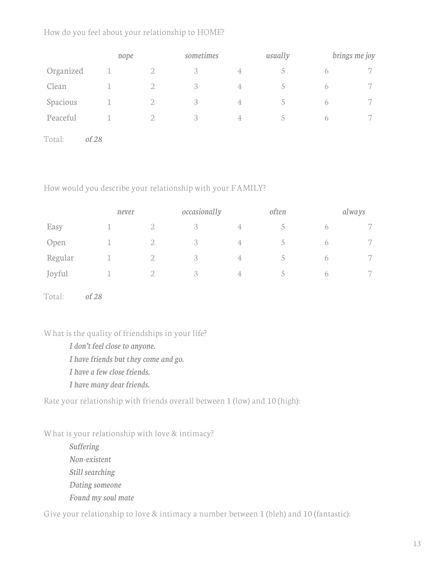#### How do you feel about your relationship to HOME?

|           | nope    |                             | sometimes |                | usually       |            | brings me joy  |
|-----------|---------|-----------------------------|-----------|----------------|---------------|------------|----------------|
| Organized |         | $\overline{2}$              | 3         | $\overline{4}$ |               | $\bigcap$  | 7              |
| Clean     |         |                             | 3         | 4              |               | $\circ$    | $\overline{ }$ |
| Spacious  |         | $\overline{2}$              | 3         | $\overline{4}$ | $\mathcal{D}$ | $\sigma$   | 7              |
| Peaceful  |         | $\mathcal{D}_{\mathcal{A}}$ | 3         | $\overline{4}$ |               | $\bigcirc$ | 7              |
| Total:    | of $28$ |                             |           |                |               |            |                |

How would you describe your relationship with your FAMILY?

|         | never |   | occasionally  |                | often |   | always               |
|---------|-------|---|---------------|----------------|-------|---|----------------------|
| Easy    |       | つ |               | 4              | C.    |   | $\overline{ }$       |
| Open    |       | ∩ | 3             | $\overline{4}$ |       | 6 | $\overline{ }$<br>r. |
| Regular |       | ∩ | 3             | $\overline{4}$ |       | 6 | $\overline{ }$       |
| Joyful  |       |   | $\cap$<br>- 3 | $\overline{4}$ |       | 6 | $\overline{ }$<br>r. |

Total: *of 28*

What is the quality of friendships in your life?

*I don't feel close to anyone.*

*I have friends but they come and go.* 

*I have a few close friends.*

*I have many dear friends.* 

Rate your relationship with friends overall between 1 (low) and 10 (high):

What is your relationship with love & intimacy?

*Suffering Non-existent Still searching Dating someone Found my soul mate*

Give your relationship to love & intimacy a number between 1 (bleh) and 10 (fantastic):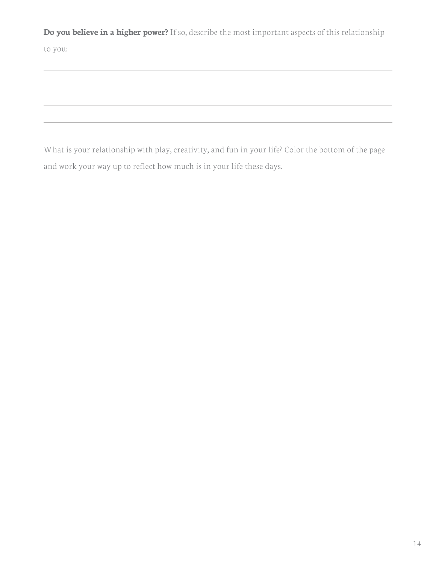**Do you believe in a higher power?** If so, describe the most important aspects of this relationship

to you:

What is your relationship with play, creativity, and fun in your life? Color the bottom of the page and work your way up to reflect how much is in your life these days.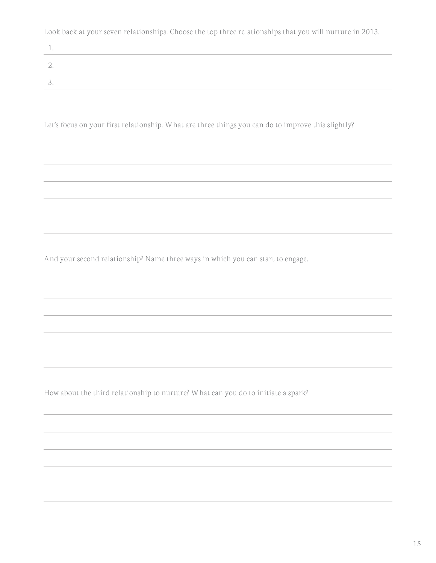Look back at your seven relationships. Choose the top three relationships that you will nurture in 2013.

| - 1 |  |
|-----|--|
|     |  |
|     |  |

Let's focus on your first relationship. What are three things you can do to improve this slightly?

And your second relationship? Name three ways in which you can start to engage.

How about the third relationship to nurture? What can you do to initiate a spark?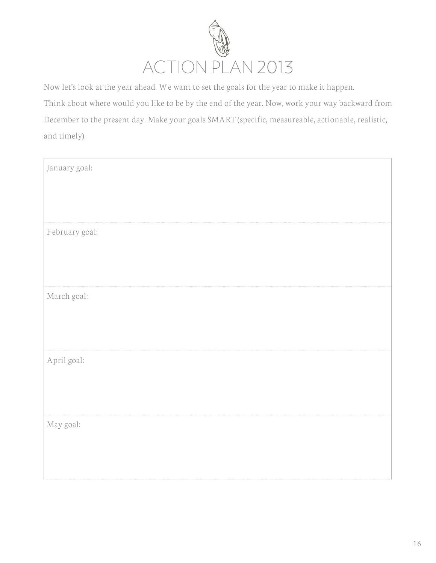

Now let's look at the year ahead. We want to set the goals for the year to make it happen. Think about where would you like to be by the end of the year. Now, work your way backward from December to the present day. Make your goals SMART (specific, measureable, actionable, realistic, and timely).

| January goal:  |  |
|----------------|--|
| February goal: |  |
| March goal:    |  |
| April goal:    |  |
| May goal:      |  |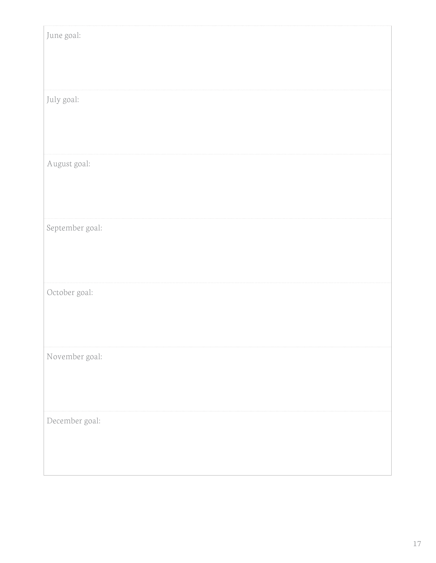| June goal:      |  |
|-----------------|--|
|                 |  |
|                 |  |
|                 |  |
|                 |  |
|                 |  |
| July goal:      |  |
|                 |  |
|                 |  |
|                 |  |
|                 |  |
|                 |  |
| August goal:    |  |
|                 |  |
|                 |  |
|                 |  |
|                 |  |
|                 |  |
| September goal: |  |
|                 |  |
|                 |  |
|                 |  |
|                 |  |
|                 |  |
| October goal:   |  |
|                 |  |
|                 |  |
|                 |  |
|                 |  |
|                 |  |
| November goal:  |  |
|                 |  |
|                 |  |
|                 |  |
|                 |  |
|                 |  |
| December goal:  |  |
|                 |  |
|                 |  |
|                 |  |
|                 |  |
|                 |  |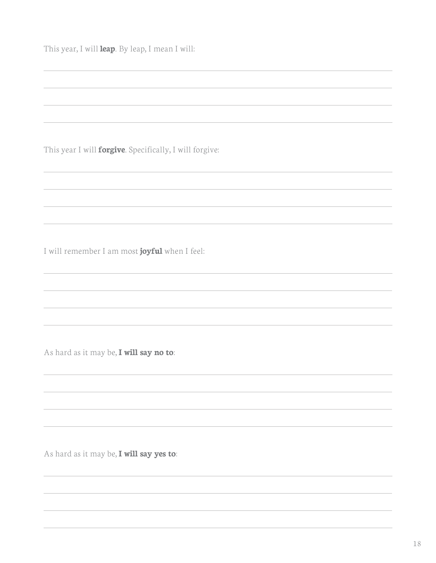This year, I will **leap**. By leap, I mean I will:

This year I will **forgive**. Specifically, I will forgive:

I will remember I am most **joyful** when I feel:

As hard as it may be, **I will say no to**:

As hard as it may be, **I will say yes to**: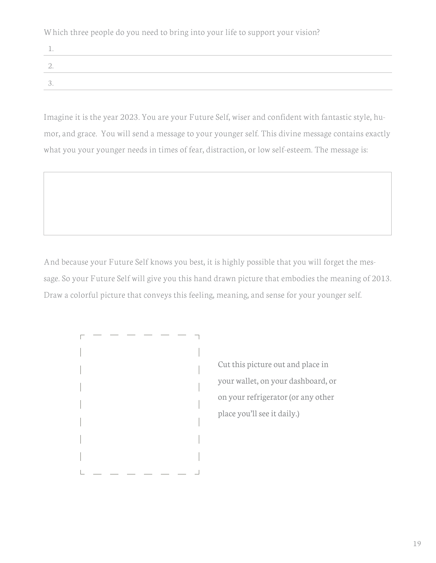Which three people do you need to bring into your life to support your vision?

Imagine it is the year 2023. You are your Future Self, wiser and confident with fantastic style, humor, and grace. You will send a message to your younger self. This divine message contains exactly what you your younger needs in times of fear, distraction, or low self-esteem. The message is:

And because your Future Self knows you best, it is highly possible that you will forget the message. So your Future Self will give you this hand drawn picture that embodies the meaning of 2013. Draw a colorful picture that conveys this feeling, meaning, and sense for your younger self.



Cut this picture out and place in your wallet, on your dashboard, or on your refrigerator (or any other place you'll see it daily.)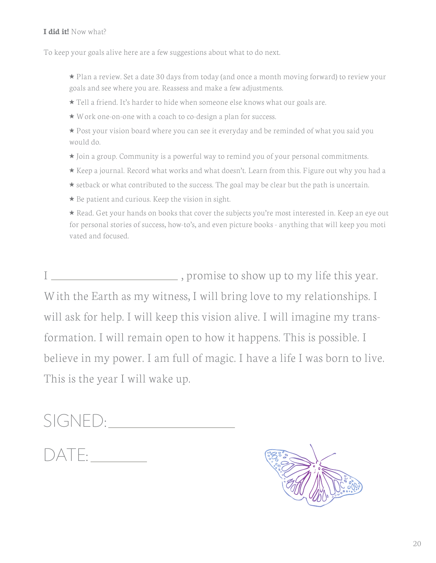#### **I did it!** Now what?

To keep your goals alive here are a few suggestions about what to do next.

- $\star$  Plan a review. Set a date 30 days from today (and once a month moving forward) to review your goals and see where you are. Reassess and make a few adjustments.
- ⋆ Tell a friend. It's harder to hide when someone else knows what our goals are.
- ⋆ Work one-on-one with a coach to co-design a plan for success.
- ★ Post your vision board where you can see it everyday and be reminded of what you said you would do.
- ⋆ Join a group. Community is a powerful way to remind you of your personal commitments.
- ⋆ Keep a journal. Record what works and what doesn't. Learn from this. Figure out why you had a
- **★** setback or what contributed to the success. The goal may be clear but the path is uncertain.
- $\star$  Be patient and curious. Keep the vision in sight.

★ Read. Get your hands on books that cover the subjects you're most interested in. Keep an eye out for personal stories of success, how-to's, and even picture books - anything that will keep you moti vated and focused.

I , promise to show up to my life this year. With the Earth as my witness, I will bring love to my relationships. I will ask for help. I will keep this vision alive. I will imagine my transformation. I will remain open to how it happens. This is possible. I believe in my power. I am full of magic. I have a life I was born to live. This is the year I will wake up.

# SIGNED: